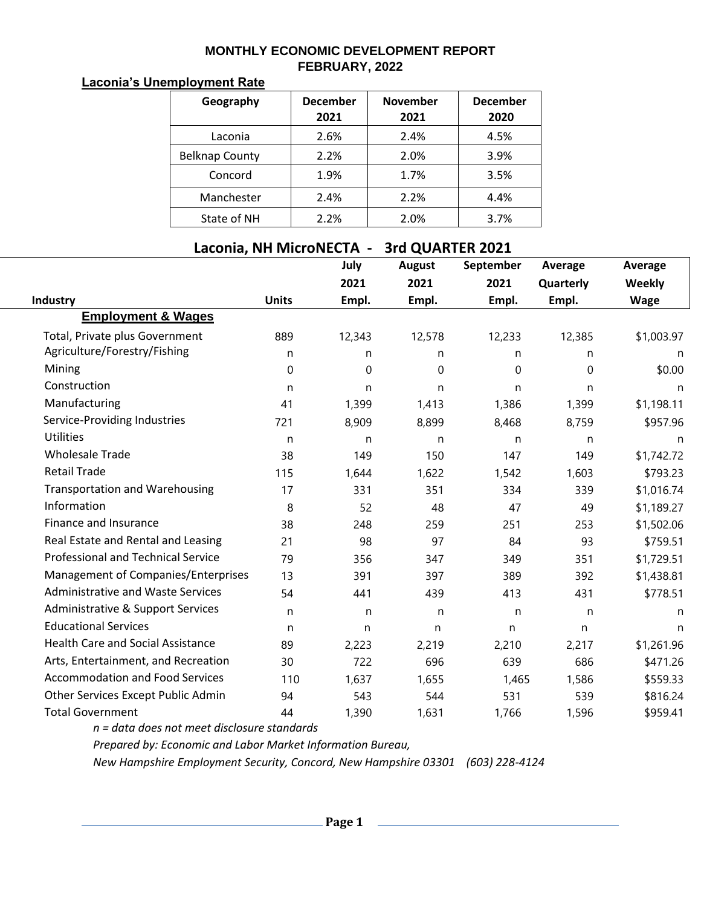## **MONTHLY ECONOMIC DEVELOPMENT REPORT FEBRUARY, 2022**

## **Laconia's Unemployment Rate**

| Geography             | <b>December</b><br>2021 | <b>November</b><br>2021 | <b>December</b><br>2020 |
|-----------------------|-------------------------|-------------------------|-------------------------|
| Laconia               | 2.6%                    | 2.4%                    | 4.5%                    |
| <b>Belknap County</b> | 2.2%                    | 2.0%                    | 3.9%                    |
| Concord               | 1.9%                    | 1.7%                    | 3.5%                    |
| Manchester            | 2.4%                    | 2.2%                    | 4.4%                    |
| State of NH           | 2.2%                    | 2.0%                    | 3.7%                    |

## **Laconia, NH MicroNECTA - 3rd QUARTER 2021**

|                                           |              | July   | <b>August</b> | September   | Average   | <b>Average</b> |
|-------------------------------------------|--------------|--------|---------------|-------------|-----------|----------------|
|                                           |              | 2021   | 2021          | 2021        | Quarterly | Weekly         |
| Industry                                  | <b>Units</b> | Empl.  | Empl.         | Empl.       | Empl.     | <b>Wage</b>    |
| <b>Employment &amp; Wages</b>             |              |        |               |             |           |                |
| Total, Private plus Government            | 889          | 12,343 | 12,578        | 12,233      | 12,385    | \$1,003.97     |
| Agriculture/Forestry/Fishing              | n            | n      | n             | n           | n         | n              |
| Mining                                    | $\mathbf 0$  | 0      | $\mathbf 0$   | $\mathbf 0$ | 0         | \$0.00         |
| Construction                              | n            | n      | n             | n           | n         | n              |
| Manufacturing                             | 41           | 1,399  | 1,413         | 1,386       | 1,399     | \$1,198.11     |
| Service-Providing Industries              | 721          | 8,909  | 8,899         | 8,468       | 8,759     | \$957.96       |
| <b>Utilities</b>                          | n            | n      | n             | n           | n         | n              |
| <b>Wholesale Trade</b>                    | 38           | 149    | 150           | 147         | 149       | \$1,742.72     |
| <b>Retail Trade</b>                       | 115          | 1,644  | 1,622         | 1,542       | 1,603     | \$793.23       |
| <b>Transportation and Warehousing</b>     | 17           | 331    | 351           | 334         | 339       | \$1,016.74     |
| Information                               | 8            | 52     | 48            | 47          | 49        | \$1,189.27     |
| Finance and Insurance                     | 38           | 248    | 259           | 251         | 253       | \$1,502.06     |
| Real Estate and Rental and Leasing        | 21           | 98     | 97            | 84          | 93        | \$759.51       |
| <b>Professional and Technical Service</b> | 79           | 356    | 347           | 349         | 351       | \$1,729.51     |
| Management of Companies/Enterprises       | 13           | 391    | 397           | 389         | 392       | \$1,438.81     |
| <b>Administrative and Waste Services</b>  | 54           | 441    | 439           | 413         | 431       | \$778.51       |
| Administrative & Support Services         | n            | n      | n             | n           | n         | n              |
| <b>Educational Services</b>               | n            | n      | n             | n.          | n.        | n              |
| <b>Health Care and Social Assistance</b>  | 89           | 2,223  | 2,219         | 2,210       | 2,217     | \$1,261.96     |
| Arts, Entertainment, and Recreation       | 30           | 722    | 696           | 639         | 686       | \$471.26       |
| <b>Accommodation and Food Services</b>    | 110          | 1,637  | 1,655         | 1,465       | 1,586     | \$559.33       |
| Other Services Except Public Admin        | 94           | 543    | 544           | 531         | 539       | \$816.24       |
| <b>Total Government</b>                   | 44           | 1,390  | 1,631         | 1,766       | 1,596     | \$959.41       |

*n = data does not meet disclosure standards*

*Prepared by: Economic and Labor Market Information Bureau,*

*New Hampshire Employment Security, Concord, New Hampshire 03301 (603) 228-4124*